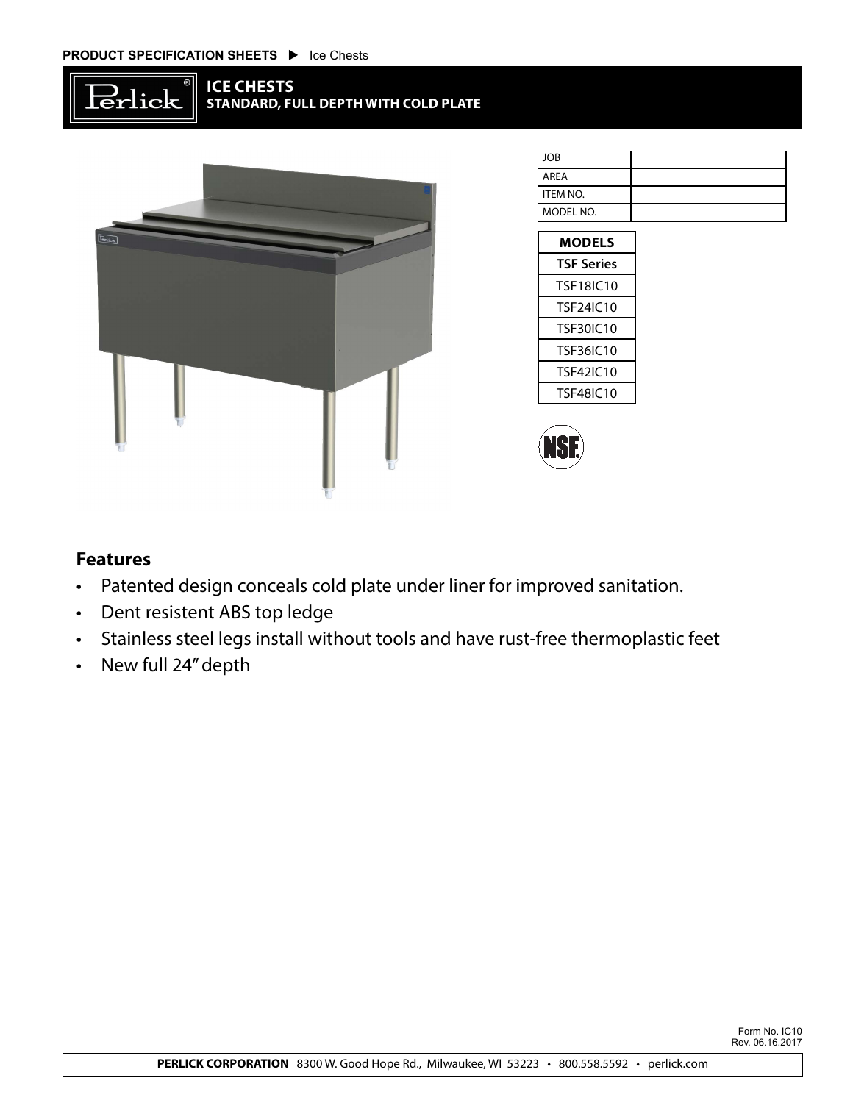



| <b>JOB</b>      |  |
|-----------------|--|
|                 |  |
| <b>AREA</b>     |  |
|                 |  |
| <b>ITEM NO.</b> |  |
|                 |  |
| MODEL NO.       |  |
|                 |  |

| <b>MODELS</b>    |  |  |  |  |
|------------------|--|--|--|--|
| TSF Series       |  |  |  |  |
| TSF18IC10        |  |  |  |  |
| TSF24IC10        |  |  |  |  |
| TSE30IC10        |  |  |  |  |
| <b>TSF36IC10</b> |  |  |  |  |
| TSF42IC10        |  |  |  |  |
| TSF48IC10        |  |  |  |  |



## **Features**

- • Patented design conceals cold plate under liner for improved sanitation.
- • Dent resistent ABS top ledge
- • Stainless steel legs install without tools and have rust-free thermoplastic feet
- • New full 24"depth